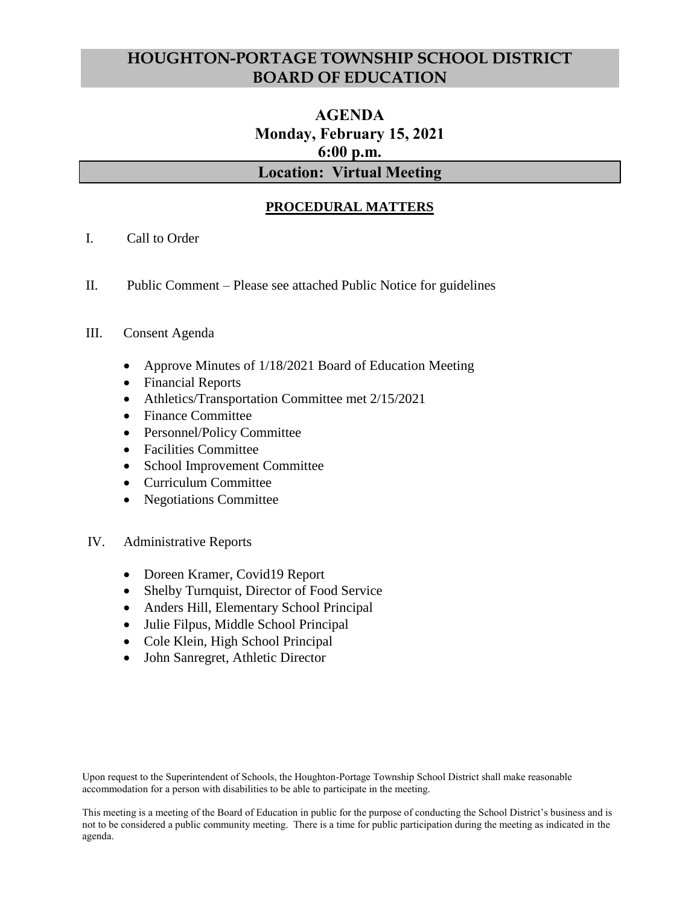# **HOUGHTON-PORTAGE TOWNSHIP SCHOOL DISTRICT BOARD OF EDUCATION**

# **AGENDA Monday, February 15, 2021 6:00 p.m. Location: Virtual Meeting**

# **PROCEDURAL MATTERS**

- I. Call to Order
- II. Public Comment Please see attached Public Notice for guidelines

## III. Consent Agenda

- Approve Minutes of 1/18/2021 Board of Education Meeting
- Financial Reports
- Athletics/Transportation Committee met 2/15/2021
- Finance Committee
- Personnel/Policy Committee
- Facilities Committee
- School Improvement Committee
- Curriculum Committee
- Negotiations Committee
- IV. Administrative Reports
	- Doreen Kramer, Covid19 Report
	- Shelby Turnquist, Director of Food Service
	- Anders Hill, Elementary School Principal
	- Julie Filpus, Middle School Principal
	- Cole Klein, High School Principal
	- John Sanregret, Athletic Director

Upon request to the Superintendent of Schools, the Houghton-Portage Township School District shall make reasonable accommodation for a person with disabilities to be able to participate in the meeting.

This meeting is a meeting of the Board of Education in public for the purpose of conducting the School District's business and is not to be considered a public community meeting. There is a time for public participation during the meeting as indicated in the agenda.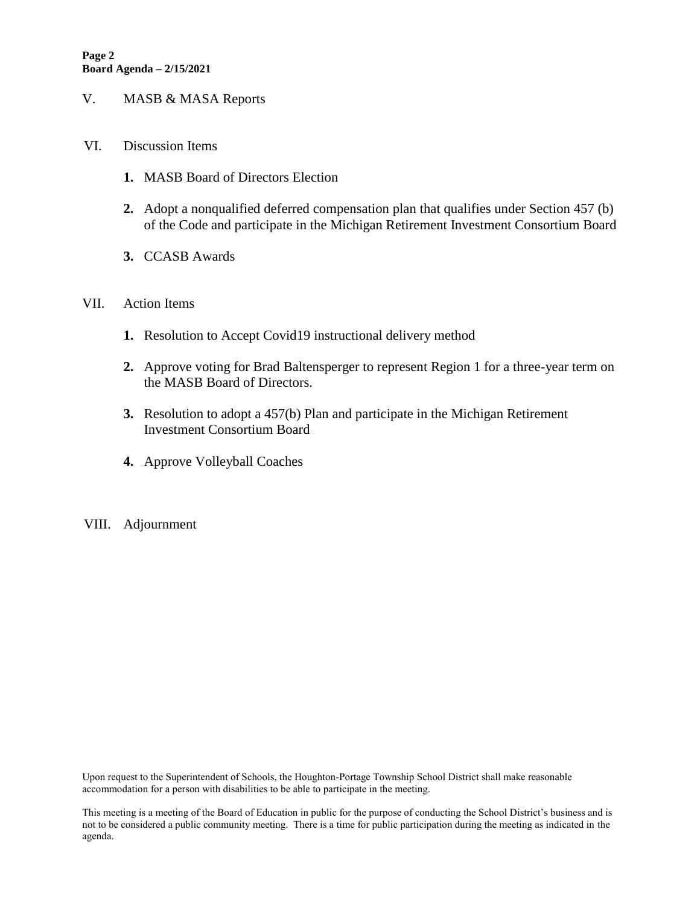- V. MASB & MASA Reports
- VI. Discussion Items
	- **1.** MASB Board of Directors Election
	- **2.** Adopt a nonqualified deferred compensation plan that qualifies under Section 457 (b) of the Code and participate in the Michigan Retirement Investment Consortium Board
	- **3.** CCASB Awards

#### VII. Action Items

- **1.** Resolution to Accept Covid19 instructional delivery method
- **2.** Approve voting for Brad Baltensperger to represent Region 1 for a three-year term on the MASB Board of Directors.
- **3.** Resolution to adopt a 457(b) Plan and participate in the Michigan Retirement Investment Consortium Board
- **4.** Approve Volleyball Coaches
- VIII. Adjournment

Upon request to the Superintendent of Schools, the Houghton-Portage Township School District shall make reasonable accommodation for a person with disabilities to be able to participate in the meeting.

This meeting is a meeting of the Board of Education in public for the purpose of conducting the School District's business and is not to be considered a public community meeting. There is a time for public participation during the meeting as indicated in the agenda.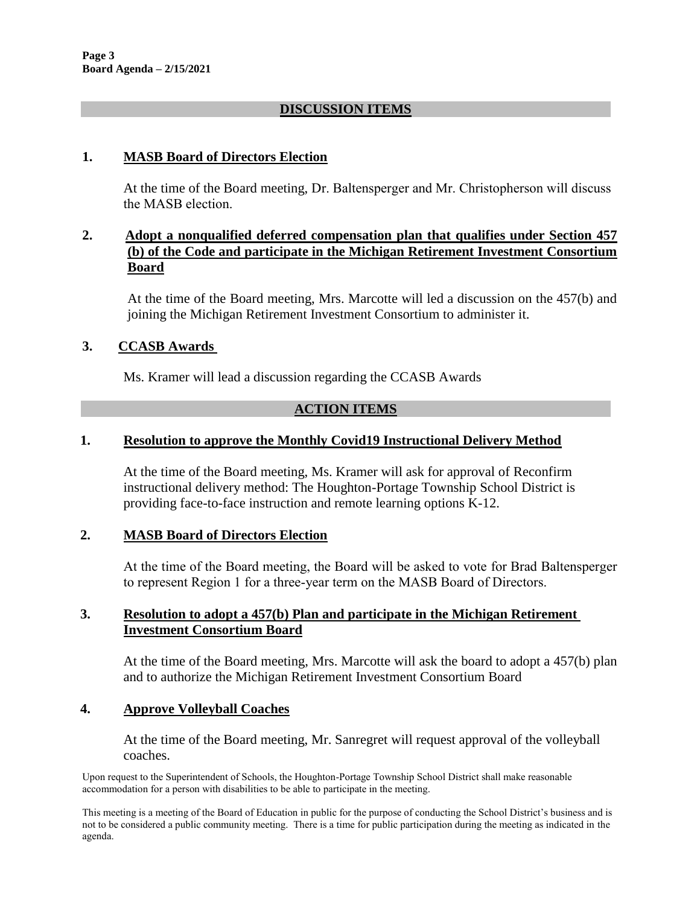## **DISCUSSION ITEMS**

## **1. MASB Board of Directors Election**

At the time of the Board meeting, Dr. Baltensperger and Mr. Christopherson will discuss the MASB election.

## **2. Adopt a nonqualified deferred compensation plan that qualifies under Section 457 (b) of the Code and participate in the Michigan Retirement Investment Consortium Board**

At the time of the Board meeting, Mrs. Marcotte will led a discussion on the 457(b) and joining the Michigan Retirement Investment Consortium to administer it.

## **3. CCASB Awards**

Ms. Kramer will lead a discussion regarding the CCASB Awards

### **ACTION ITEMS**

## **1. Resolution to approve the Monthly Covid19 Instructional Delivery Method**

At the time of the Board meeting, Ms. Kramer will ask for approval of Reconfirm instructional delivery method: The Houghton-Portage Township School District is providing face-to-face instruction and remote learning options K-12.

#### **2. MASB Board of Directors Election**

At the time of the Board meeting, the Board will be asked to vote for Brad Baltensperger to represent Region 1 for a three-year term on the MASB Board of Directors.

### **3. Resolution to adopt a 457(b) Plan and participate in the Michigan Retirement Investment Consortium Board**

At the time of the Board meeting, Mrs. Marcotte will ask the board to adopt a 457(b) plan and to authorize the Michigan Retirement Investment Consortium Board

#### **4. Approve Volleyball Coaches**

At the time of the Board meeting, Mr. Sanregret will request approval of the volleyball coaches.

Upon request to the Superintendent of Schools, the Houghton-Portage Township School District shall make reasonable accommodation for a person with disabilities to be able to participate in the meeting.

This meeting is a meeting of the Board of Education in public for the purpose of conducting the School District's business and is not to be considered a public community meeting. There is a time for public participation during the meeting as indicated in the agenda.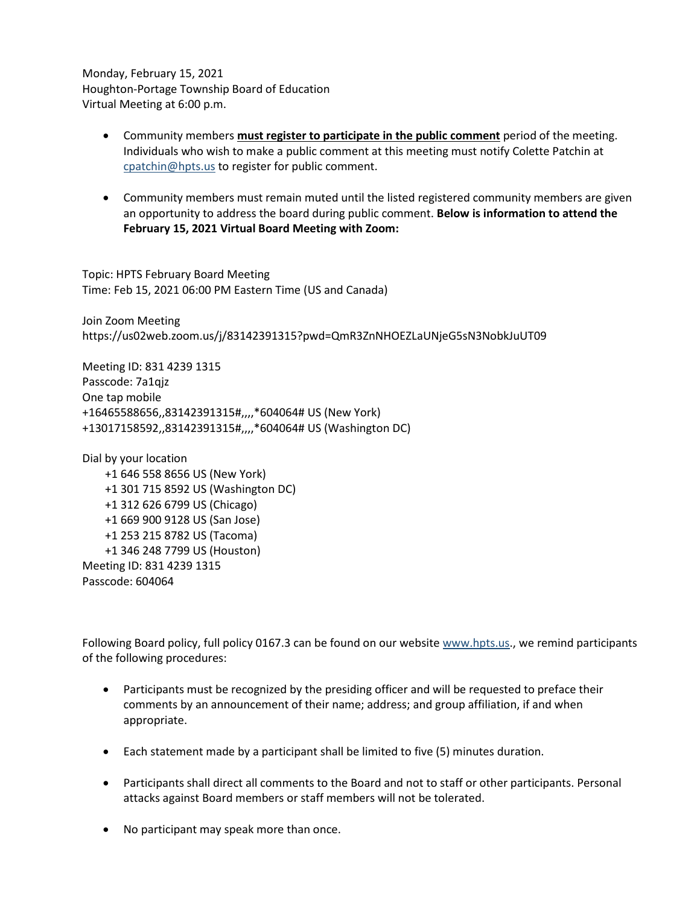Monday, February 15, 2021 Houghton-Portage Township Board of Education Virtual Meeting at 6:00 p.m.

- Community members **must register to participate in the public comment** period of the meeting. Individuals who wish to make a public comment at this meeting must notify Colette Patchin at [cpatchin@hpts.us](mailto:cpatchin@hpts.us) to register for public comment.
- Community members must remain muted until the listed registered community members are given an opportunity to address the board during public comment. **Below is information to attend the February 15, 2021 Virtual Board Meeting with Zoom:**

Topic: HPTS February Board Meeting Time: Feb 15, 2021 06:00 PM Eastern Time (US and Canada)

Join Zoom Meeting https://us02web.zoom.us/j/83142391315?pwd=QmR3ZnNHOEZLaUNjeG5sN3NobkJuUT09

Meeting ID: 831 4239 1315 Passcode: 7a1qjz One tap mobile +16465588656,,83142391315#,,,,\*604064# US (New York) +13017158592,,83142391315#,,,,\*604064# US (Washington DC)

Dial by your location +1 646 558 8656 US (New York) +1 301 715 8592 US (Washington DC) +1 312 626 6799 US (Chicago) +1 669 900 9128 US (San Jose) +1 253 215 8782 US (Tacoma) +1 346 248 7799 US (Houston) Meeting ID: 831 4239 1315 Passcode: 604064

Following Board policy, full policy 0167.3 can be found on our website [www.hpts.us.](http://www.hpts.us/), we remind participants of the following procedures:

- Participants must be recognized by the presiding officer and will be requested to preface their comments by an announcement of their name; address; and group affiliation, if and when appropriate.
- Each statement made by a participant shall be limited to five (5) minutes duration.
- Participants shall direct all comments to the Board and not to staff or other participants. Personal attacks against Board members or staff members will not be tolerated.
- No participant may speak more than once.